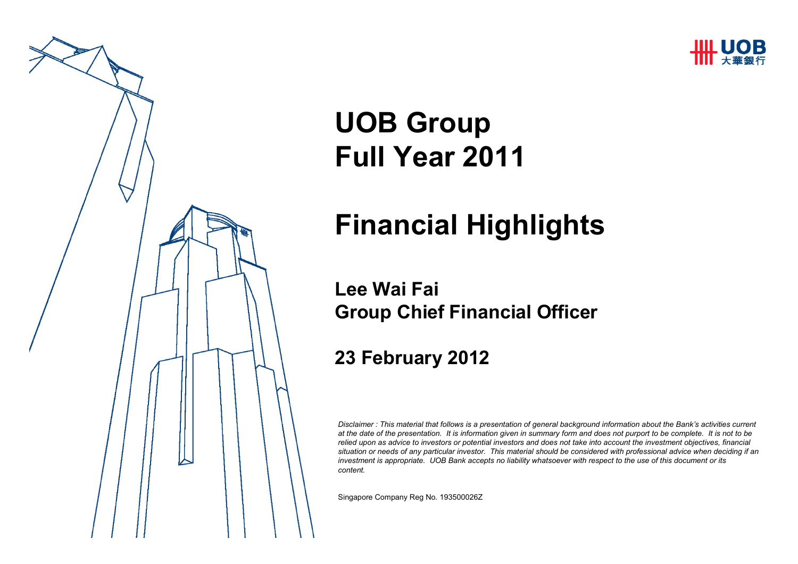



# **UOB GroupFull Year 2011**

# **Financial Highlights**

#### **Lee Wai FaiGroup Chief Financial Officer**

#### **23 February 2012**

*Disclaimer : This material that follows is a presentation of general background information about the Bank's activities current at the date of the presentation. It is information given in summary form and does not purport to be complete. It is not to be relied upon as advice to investors or potential investors and does not take into account the investment objectives, financial situation or needs of any particular investor. This material should be considered with professional advice when deciding if an investment is appropriate. UOB Bank accepts no liability whatsoever with respect to the use of this document or its content.*

Singapore Company Reg No. 193500026Z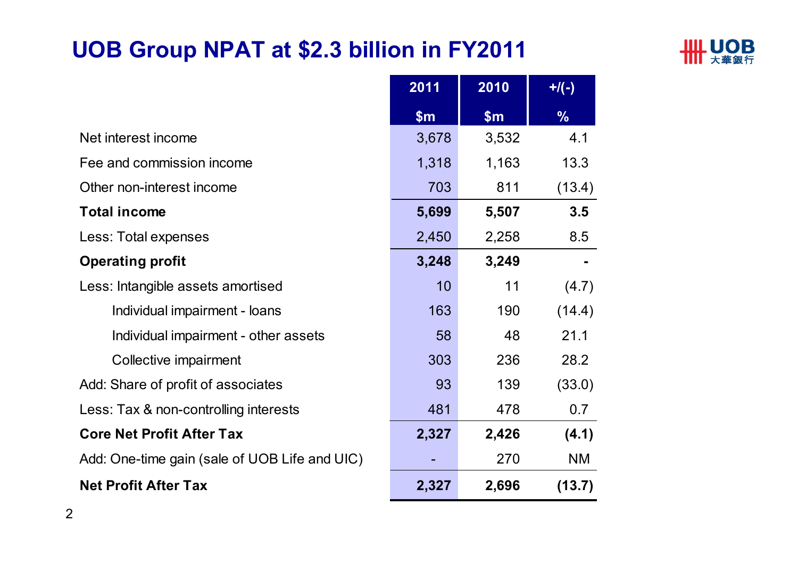## **UOB Group NPAT at \$2.3 billion in FY2011**



|                                               | 2011  | 2010  | $+$ /(-)      |
|-----------------------------------------------|-------|-------|---------------|
|                                               | \$m\$ | \$m\$ | $\frac{9}{6}$ |
| Net interest income                           | 3,678 | 3,532 | 4.1           |
| Fee and commission income                     | 1,318 | 1,163 | 13.3          |
| Other non-interest income                     | 703   | 811   | (13.4)        |
| <b>Total income</b>                           | 5,699 | 5,507 | 3.5           |
| Less: Total expenses                          | 2,450 | 2,258 | 8.5           |
| <b>Operating profit</b>                       | 3,248 | 3,249 |               |
| Less: Intangible assets amortised             | 10    | 11    | (4.7)         |
| Individual impairment - loans                 | 163   | 190   | (14.4)        |
| Individual impairment - other assets          | 58    | 48    | 21.1          |
| Collective impairment                         | 303   | 236   | 28.2          |
| Add: Share of profit of associates            | 93    | 139   | (33.0)        |
| Less: Tax & non-controlling interests         | 481   | 478   | 0.7           |
| <b>Core Net Profit After Tax</b>              | 2,327 | 2,426 | (4.1)         |
| Add: One-time gain (sale of UOB Life and UIC) |       | 270   | <b>NM</b>     |
| <b>Net Profit After Tax</b>                   | 2,327 | 2,696 | (13.7)        |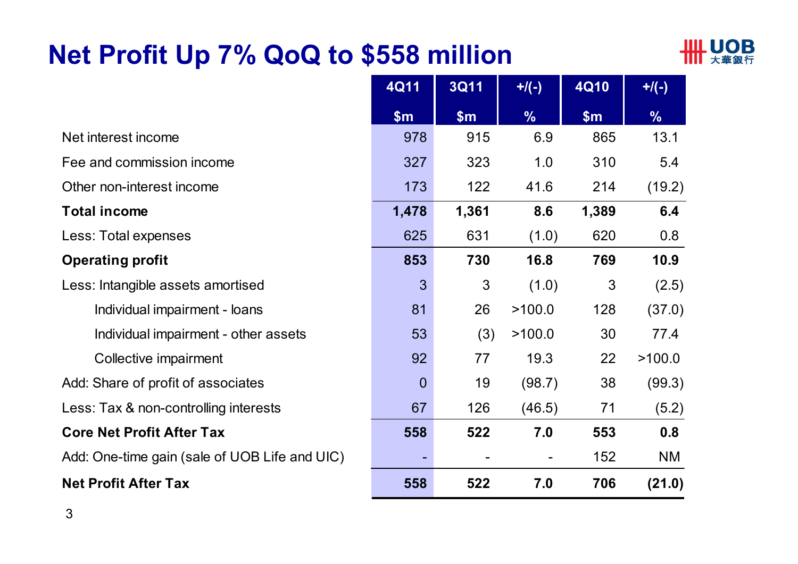# **Net Profit Up 7% QoQ to \$558 million**



|                                               | <b>4Q11</b>    | <b>3Q11</b> | $+$ /(-)      | <b>4Q10</b>    | $+$ /(-)      |
|-----------------------------------------------|----------------|-------------|---------------|----------------|---------------|
|                                               | \$m\$          | \$m\$       | $\frac{0}{6}$ | \$m\$          | $\frac{9}{6}$ |
| Net interest income                           | 978            | 915         | 6.9           | 865            | 13.1          |
| Fee and commission income                     | 327            | 323         | 1.0           | 310            | 5.4           |
| Other non-interest income                     | 173            | 122         | 41.6          | 214            | (19.2)        |
| <b>Total income</b>                           | 1,478          | 1,361       | 8.6           | 1,389          | 6.4           |
| Less: Total expenses                          | 625            | 631         | (1.0)         | 620            | 0.8           |
| <b>Operating profit</b>                       | 853            | 730         | 16.8          | 769            | 10.9          |
| Less: Intangible assets amortised             | 3              | 3           | (1.0)         | $\mathfrak{S}$ | (2.5)         |
| Individual impairment - loans                 | 81             | 26          | >100.0        | 128            | (37.0)        |
| Individual impairment - other assets          | 53             | (3)         | >100.0        | 30             | 77.4          |
| Collective impairment                         | 92             | 77          | 19.3          | 22             | >100.0        |
| Add: Share of profit of associates            | $\overline{0}$ | 19          | (98.7)        | 38             | (99.3)        |
| Less: Tax & non-controlling interests         | 67             | 126         | (46.5)        | 71             | (5.2)         |
| <b>Core Net Profit After Tax</b>              | 558            | 522         | 7.0           | 553            | 0.8           |
| Add: One-time gain (sale of UOB Life and UIC) |                |             |               | 152            | <b>NM</b>     |
| <b>Net Profit After Tax</b>                   | 558            | 522         | 7.0           | 706            | (21.0)        |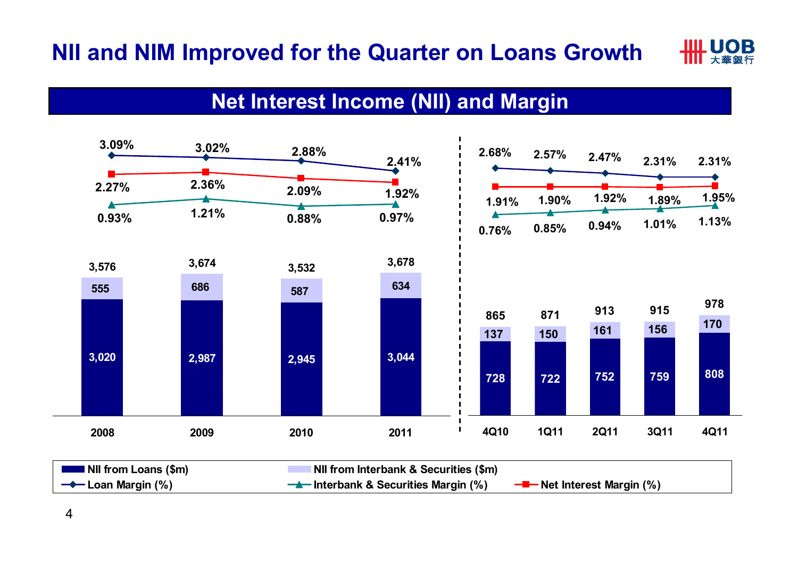

#### **Net Interest Income (NII) and Margin**

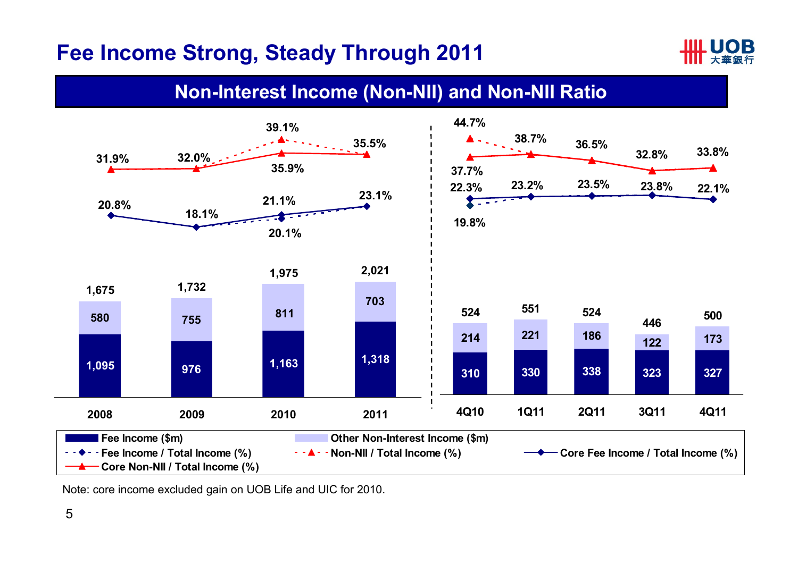#### **Fee Income Strong, Steady Through 2011**



#### **Non-Interest Income (Non-NII) and Non-NII Ratio**



Note: core income excluded gain on UOB Life and UIC for 2010.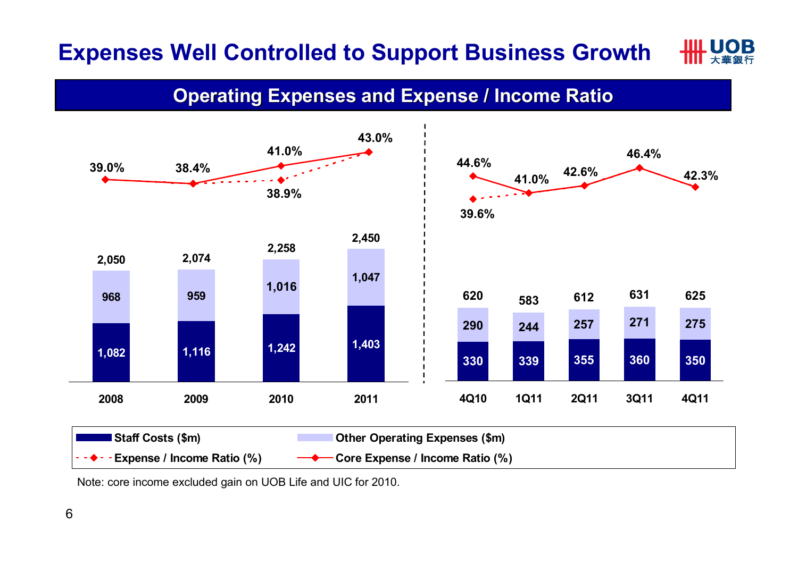#### IL LIOR **Expenses Well Controlled to Support Business Growth**

**Operating Expenses and Expense / Income Ratio**



Note: core income excluded gain on UOB Life and UIC for 2010.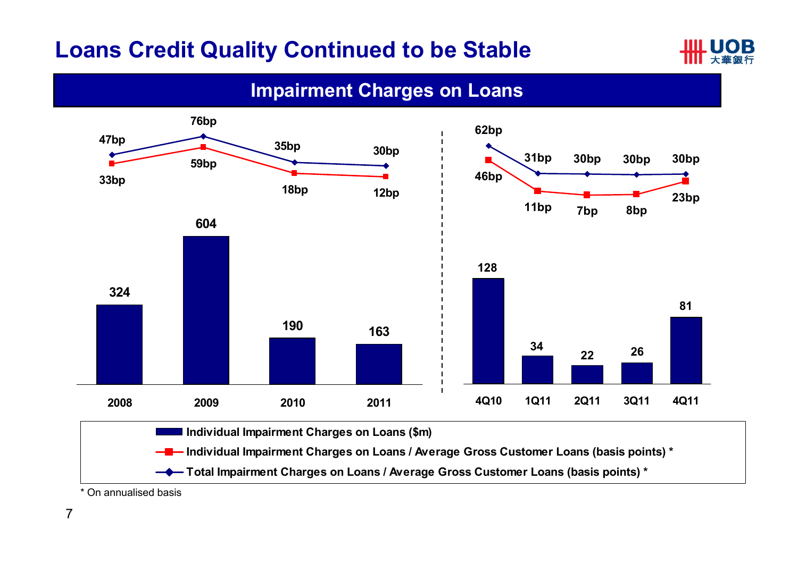#### **Loans Credit Quality Continued to be Stable**



#### **Impairment Charges on Loans**



\* On annualised basis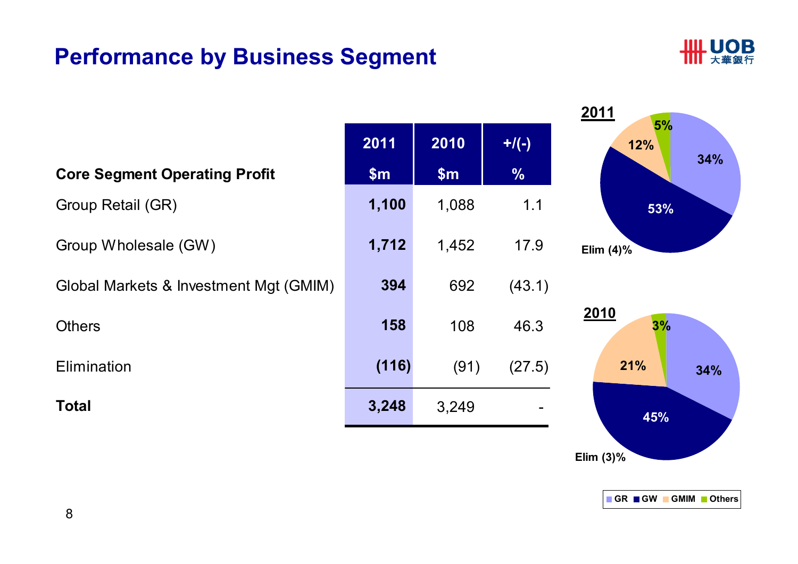## **Performance by Business Segment**



|                                        |       |       |               | 2011<br>5%   |
|----------------------------------------|-------|-------|---------------|--------------|
|                                        | 2011  | 2010  | $+$ /(-)      | 12%          |
| <b>Core Segment Operating Profit</b>   | \$m\$ | \$m\$ | $\frac{0}{0}$ | 34%          |
| Group Retail (GR)                      | 1,100 | 1,088 | 1.1           | 53%          |
| Group Wholesale (GW)                   | 1,712 | 1,452 | 17.9          | Elim $(4)$ % |
| Global Markets & Investment Mgt (GMIM) | 394   | 692   | (43.1)        |              |
| <b>Others</b>                          | 158   | 108   | 46.3          | 2010<br>3%   |
| Elimination                            | (116) | (91)  | (27.5)        | 21%<br>34%   |
| <b>Total</b>                           | 3,248 | 3,249 |               | 45%          |



**Elim (3)%**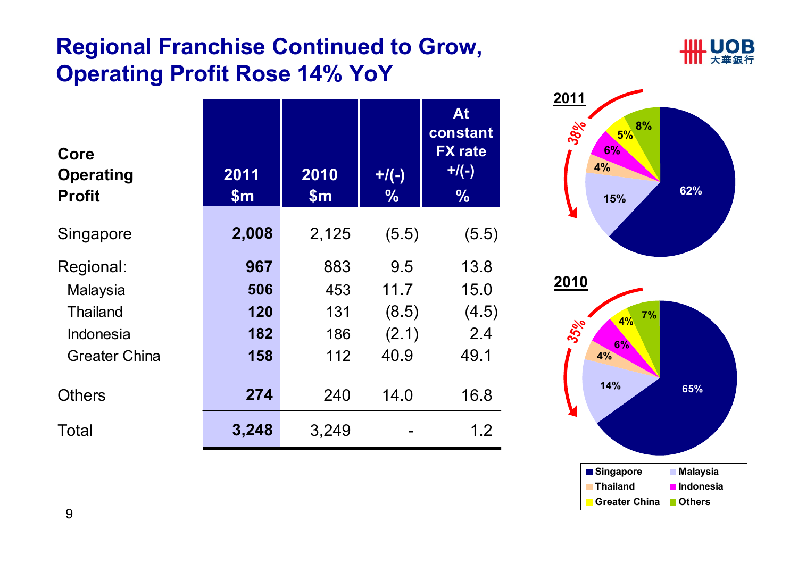## **Regional Franchise Continued to Grow, Operating Profit Rose 14% YoY**



| Core<br><b>Operating</b><br><b>Profit</b> | 2011<br>$\mathsf{Sm}$ | 2010<br>$\mathsf{Sm}$ | $+$ /(-)<br>$\frac{9}{6}$ | At<br>constant<br><b>FX</b> rate<br>$+$ /(-)<br>$\frac{1}{2}$ |
|-------------------------------------------|-----------------------|-----------------------|---------------------------|---------------------------------------------------------------|
| Singapore                                 | 2,008                 | 2,125                 | (5.5)                     | (5.5)                                                         |
| Regional:                                 | 967                   | 883                   | 9.5                       | 13.8                                                          |
| Malaysia                                  | 506                   | 453                   | 11.7                      | 15.0                                                          |
| <b>Thailand</b>                           | 120                   | 131                   | (8.5)                     | (4.5)                                                         |
| Indonesia                                 | 182                   | 186                   | (2.1)                     | 2.4                                                           |
| <b>Greater China</b>                      | 158                   | 112                   | 40.9                      | 49.1                                                          |
| <b>Others</b>                             | 274                   | 240                   | 14.0                      | 16.8                                                          |
| Total                                     | 3,248                 | 3,249                 |                           | 1.2                                                           |



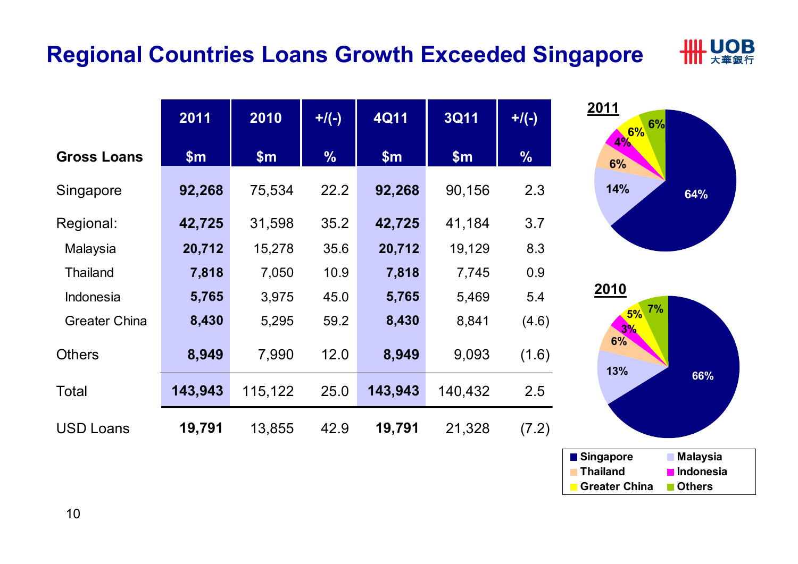#### **Regional Countries Loans Growth Exceeded Singapore**



|                      | 2011    | 2010    | $+$ /(-)      | <b>4Q11</b> | <b>3Q11</b> | $+$ /(-)      |
|----------------------|---------|---------|---------------|-------------|-------------|---------------|
| <b>Gross Loans</b>   | \$m\$   | \$m\$   | $\frac{9}{6}$ | \$m\$       | \$m\$       | $\frac{1}{2}$ |
| Singapore            | 92,268  | 75,534  | 22.2          | 92,268      | 90,156      | 2.3           |
| Regional:            | 42,725  | 31,598  | 35.2          | 42,725      | 41,184      | 3.7           |
| Malaysia             | 20,712  | 15,278  | 35.6          | 20,712      | 19,129      | 8.3           |
| <b>Thailand</b>      | 7,818   | 7,050   | 10.9          | 7,818       | 7,745       | 0.9           |
| Indonesia            | 5,765   | 3,975   | 45.0          | 5,765       | 5,469       | 5.4           |
| <b>Greater China</b> | 8,430   | 5,295   | 59.2          | 8,430       | 8,841       | (4.6)         |
| <b>Others</b>        | 8,949   | 7,990   | 12.0          | 8,949       | 9,093       | (1.6)         |
| Total                | 143,943 | 115,122 | 25.0          | 143,943     | 140,432     | 2.5           |
| <b>USD Loans</b>     | 19,791  | 13,855  | 42.9          | 19,791      | 21,328      | (7.2)         |



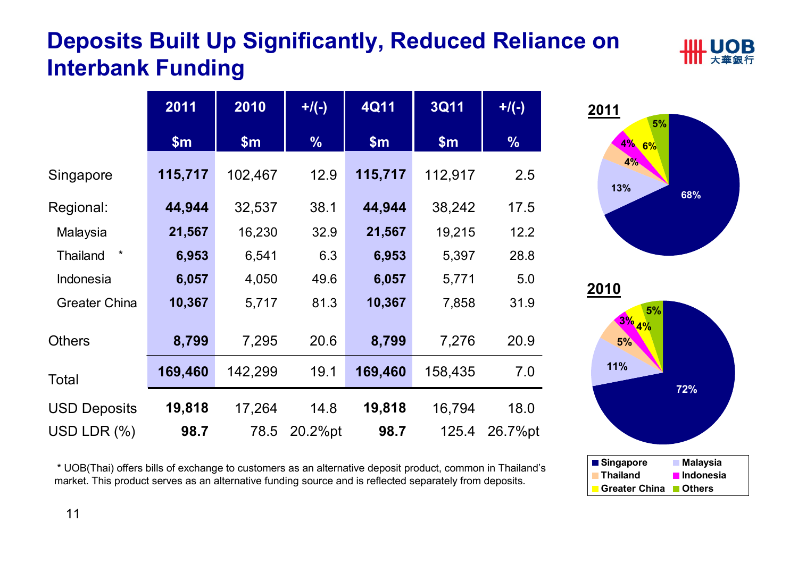# **Deposits Built Up Significantly, Reduced Reliance on Interbank Funding**





\* UOB(Thai) offers bills of exchange to customers as an alternative deposit product, common in Thailand's market. This product serves as an alternative funding source and is reflected separately from deposits.

![](_page_10_Figure_4.jpeg)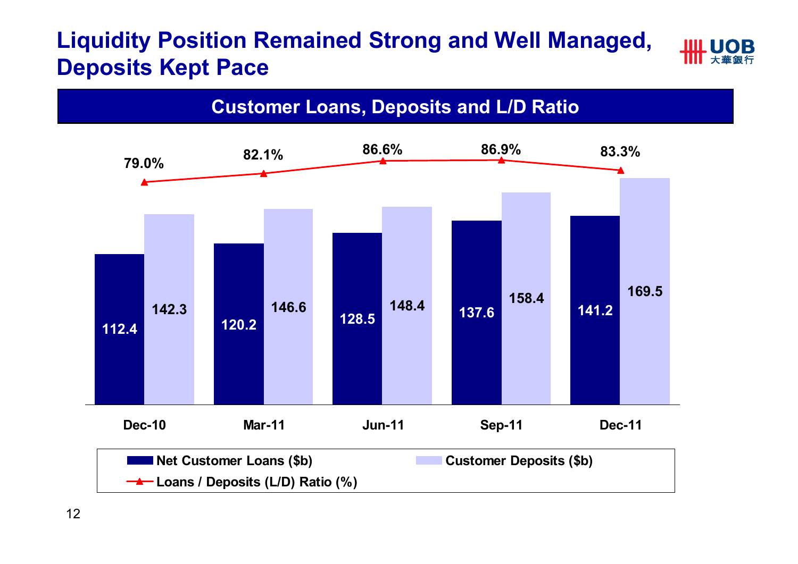## **Liquidity Position Remained Strong and Well Managed, Deposits Kept Pace**

![](_page_11_Figure_1.jpeg)

12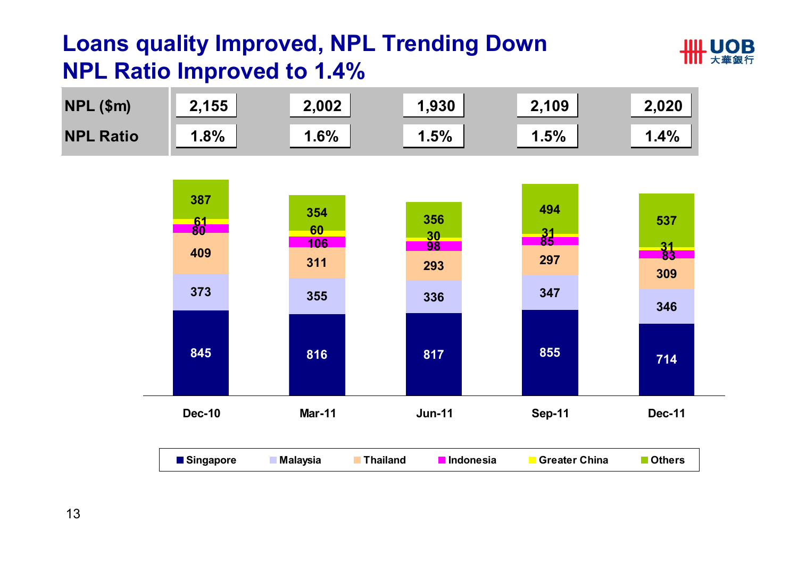## **Loans quality Improved, NPL Trending Down NPL Ratio Improved to 1.4%**

![](_page_12_Picture_1.jpeg)

![](_page_12_Figure_2.jpeg)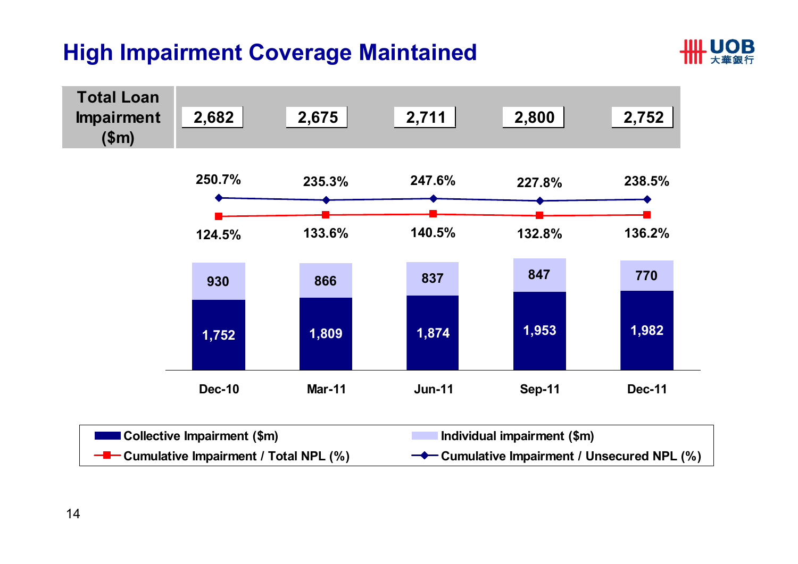#### **High Impairment Coverage Maintained**

![](_page_13_Picture_1.jpeg)

![](_page_13_Figure_2.jpeg)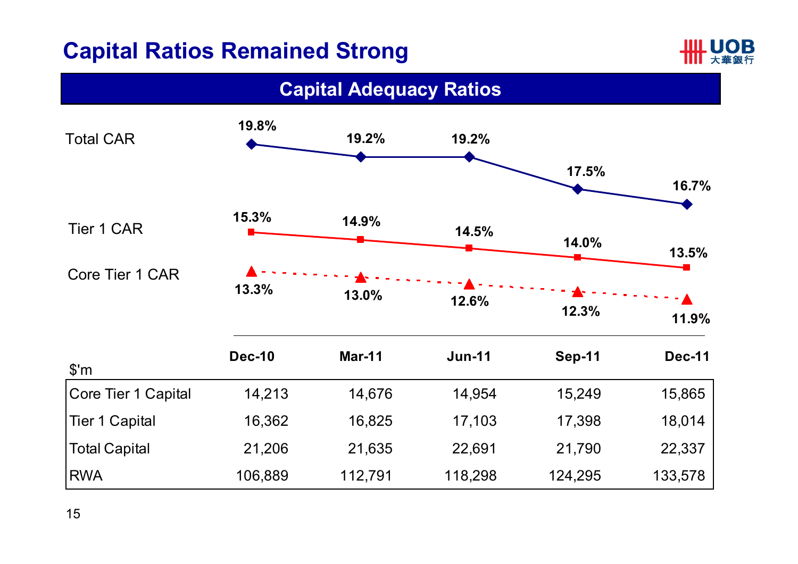## **Capital Ratios Remained Strong**

![](_page_14_Picture_1.jpeg)

![](_page_14_Figure_2.jpeg)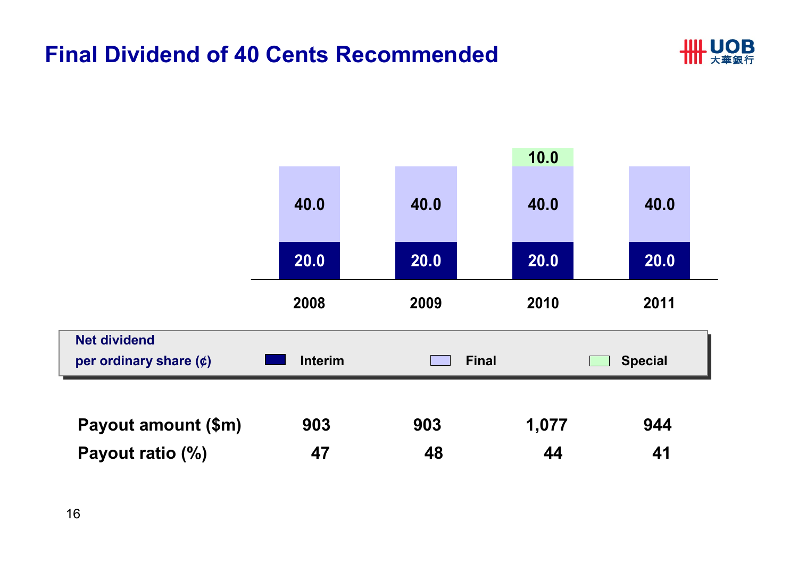#### **Final Dividend of 40 Cents Recommended**

![](_page_15_Picture_1.jpeg)

![](_page_15_Figure_2.jpeg)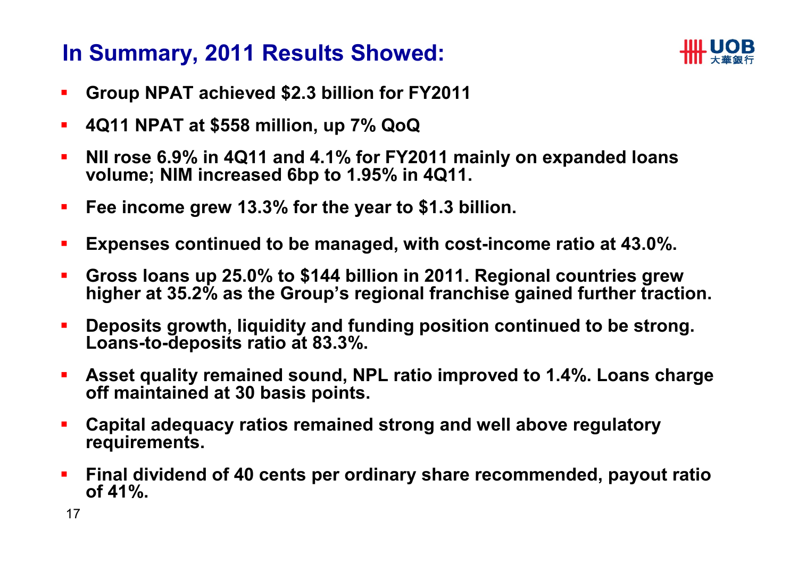#### **In Summary, 2011 Results Showed:**

![](_page_16_Picture_1.jpeg)

- $\mathcal{L}_{\mathcal{A}}$ **Group NPAT achieved \$2.3 billion for FY2011**
- $\mathcal{L}_{\mathcal{A}}$ **4Q11 NPAT at \$558 million, up 7% QoQ**
- $\mathcal{L}_{\mathcal{A}}$  **NII rose 6.9% in 4Q11 and 4.1% for FY2011 mainly on expanded loans volume; NIM increased 6bp to 1.95% in 4Q11.**
- **Fee income grew 13.3% for the year to \$1.3 billion.**
- $\blacksquare$ **Expenses continued to be managed, with cost-income ratio at 43.0%.**
- $\mathbf{r}$  **Gross loans up 25.0% to \$144 billion in 2011. Regional countries grew higher at 35.2% as the Group's regional franchise gained further traction.**
- **Deposits growth, liquidity and funding position continued to be strong. Loans-to-deposits ratio at 83.3%.**
- $\blacksquare$  **Asset quality remained sound, NPL ratio improved to 1.4%. Loans charge off maintained at 30 basis points.**
- **Capital adequacy ratios remained strong and well above regulatory requirements.**
- $\overline{\phantom{a}}$  **Final dividend of 40 cents per ordinary share recommended, payout ratio of 41%.**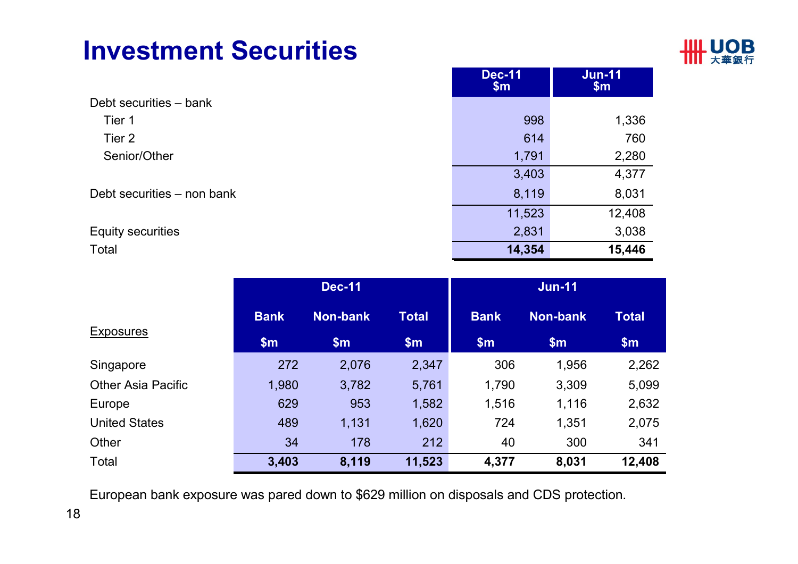# **Investment Securities**

![](_page_17_Picture_1.jpeg)

**Jun-11**

**Dec-11**

|                            | <b>Dec-11</b><br>$\mathsf{Sm}$ | JUIL-II<br>$\mathsf{S}_{\mathsf{m}}$ |
|----------------------------|--------------------------------|--------------------------------------|
| Debt securities – bank     |                                |                                      |
| Tier 1                     | 998                            | 1,336                                |
| Tier 2                     | 614                            | 760                                  |
| Senior/Other               | 1,791                          | 2,280                                |
|                            | 3,403                          | 4,377                                |
| Debt securities – non bank | 8,119                          | 8,031                                |
|                            | 11,523                         | 12,408                               |
| <b>Equity securities</b>   | 2,831                          | 3,038                                |
| Total                      | 14,354                         | 15,446                               |

|                           |               | <b>Dec-11</b>   |              | <b>Jun-11</b> |               |              |  |
|---------------------------|---------------|-----------------|--------------|---------------|---------------|--------------|--|
|                           | <b>Bank</b>   | <b>Non-bank</b> | <b>Total</b> | <b>Bank</b>   | Non-bank      | <b>Total</b> |  |
| <b>Exposures</b>          | $\mathsf{Sm}$ | $\mathsf{Sm}$   | \$m\$        | \$m\$         | $\mathsf{Sm}$ | \$m\$        |  |
| Singapore                 | 272           | 2,076           | 2,347        | 306           | 1,956         | 2,262        |  |
| <b>Other Asia Pacific</b> | 1,980         | 3,782           | 5,761        | 1,790         | 3,309         | 5,099        |  |
| Europe                    | 629           | 953             | 1,582        | 1,516         | 1,116         | 2,632        |  |
| <b>United States</b>      | 489           | 1,131           | 1,620        | 724           | 1,351         | 2,075        |  |
| Other                     | 34            | 178             | 212          | 40            | 300           | 341          |  |
| Total                     | 3,403         | 8,119           | 11,523       | 4,377         | 8,031         | 12,408       |  |

European bank exposure was pared down to \$629 million on disposals and CDS protection.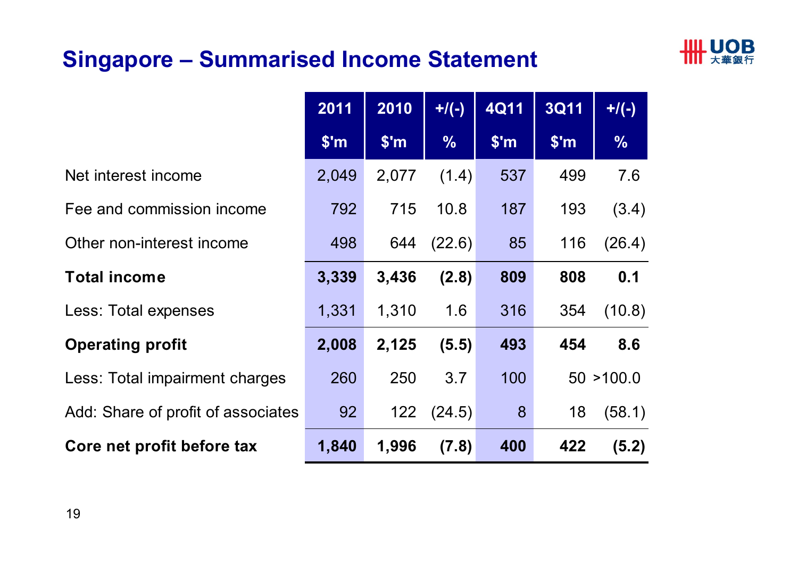## **Singapore – Summarised Income Statement**

![](_page_18_Picture_1.jpeg)

|                                    | 2011           | 2010  | $+$ /(-)      | <b>4Q11</b>   | <b>3Q11</b> | $+/(-)$       |
|------------------------------------|----------------|-------|---------------|---------------|-------------|---------------|
|                                    | $$^{\prime}$ m | \$'m  | $\frac{0}{0}$ | $\sqrt{\$'m}$ | \$'m        | $\frac{0}{0}$ |
| Net interest income                | 2,049          | 2,077 | (1.4)         | 537           | 499         | 7.6           |
| Fee and commission income          | 792            | 715   | 10.8          | 187           | 193         | (3.4)         |
| Other non-interest income          | 498            | 644   | (22.6)        | 85            | 116         | (26.4)        |
| <b>Total income</b>                | 3,339          | 3,436 | (2.8)         | 809           | 808         | 0.1           |
| Less: Total expenses               | 1,331          | 1,310 | 1.6           | 316           | 354         | (10.8)        |
| <b>Operating profit</b>            | 2,008          | 2,125 | (5.5)         | 493           | 454         | 8.6           |
| Less: Total impairment charges     | 260            | 250   | 3.7           | 100           |             | 50 > 100.0    |
| Add: Share of profit of associates | 92             | 122   | (24.5)        | 8             | 18          | (58.1)        |
| Core net profit before tax         | 1,840          | 1,996 | (7.8)         | 400           | 422         | (5.2)         |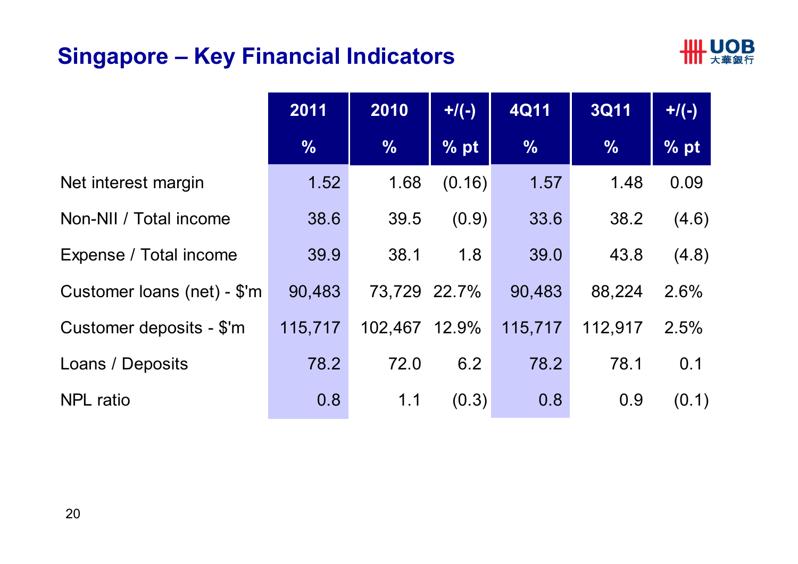## **Singapore – Key Financial Indicators**

![](_page_19_Picture_1.jpeg)

|                             | 2011          | 2010          | $+/(-)$ | <b>4Q11</b>   | <b>3Q11</b>   | $+$ /(-) |
|-----------------------------|---------------|---------------|---------|---------------|---------------|----------|
|                             | $\frac{1}{2}$ | $\frac{1}{2}$ | % pt    | $\frac{0}{0}$ | $\frac{0}{0}$ | % pt     |
| Net interest margin         | 1.52          | 1.68          | (0.16)  | 1.57          | 1.48          | 0.09     |
| Non-NII / Total income      | 38.6          | 39.5          | (0.9)   | 33.6          | 38.2          | (4.6)    |
| Expense / Total income      | 39.9          | 38.1          | 1.8     | 39.0          | 43.8          | (4.8)    |
| Customer loans (net) - \$'m | 90,483        | 73,729 22.7%  |         | 90,483        | 88,224        | 2.6%     |
| Customer deposits - \$'m    | 115,717       | 102,467 12.9% |         | 115,717       | 112,917       | 2.5%     |
| Loans / Deposits            | 78.2          | 72.0          | 6.2     | 78.2          | 78.1          | 0.1      |
| <b>NPL</b> ratio            | 0.8           | 1.1           | (0.3)   | 0.8           | 0.9           | (0.1)    |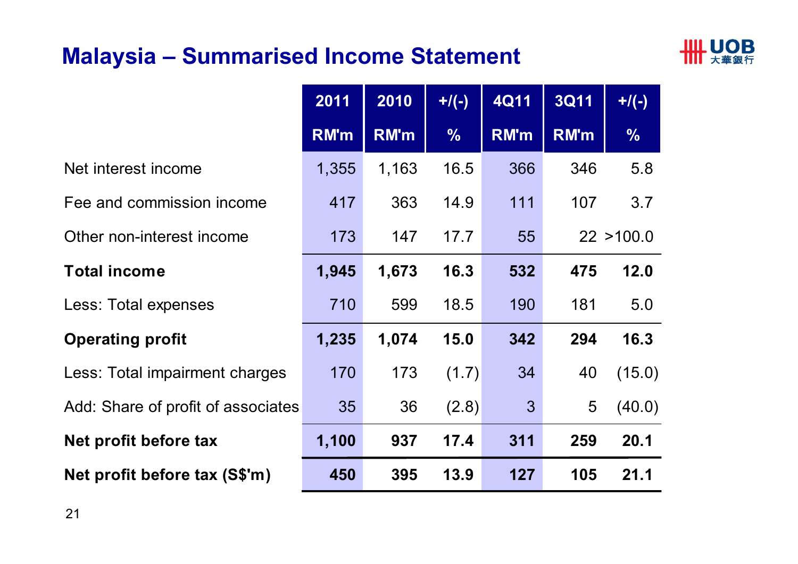#### **Malaysia – Summarised Income Statement**

![](_page_20_Picture_1.jpeg)

|                                    | 2011        | 2010        | $+$ /(-)      | <b>4Q11</b>  | <b>3Q11</b> | $+/(-)$       |
|------------------------------------|-------------|-------------|---------------|--------------|-------------|---------------|
|                                    | <b>RM'm</b> | <b>RM'm</b> | $\frac{0}{0}$ | <b>RM'm</b>  | <b>RM'm</b> | $\frac{0}{6}$ |
| Net interest income                | 1,355       | 1,163       | 16.5          | 366          | 346         | 5.8           |
| Fee and commission income          | 417         | 363         | 14.9          | 111          | 107         | 3.7           |
| Other non-interest income          | 173         | 147         | 17.7          | 55           |             | 22 > 100.0    |
| <b>Total income</b>                | 1,945       | 1,673       | 16.3          | 532          | 475         | 12.0          |
| Less: Total expenses               | 710         | 599         | 18.5          | 190          | 181         | 5.0           |
| <b>Operating profit</b>            | 1,235       | 1,074       | 15.0          | 342          | 294         | 16.3          |
| Less: Total impairment charges     | 170         | 173         | (1.7)         | 34           | 40          | (15.0)        |
| Add: Share of profit of associates | 35          | 36          | (2.8)         | $\mathbf{3}$ | 5           | (40.0)        |
| Net profit before tax              | 1,100       | 937         | 17.4          | 311          | 259         | 20.1          |
| Net profit before tax (S\$'m)      | 450         | 395         | 13.9          | 127          | 105         | 21.1          |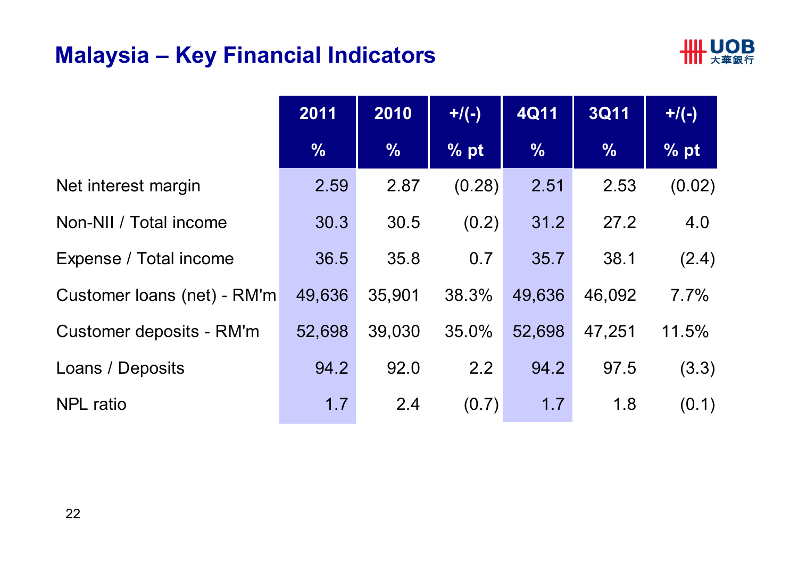#### **Malaysia – Key Financial Indicators**

![](_page_21_Picture_1.jpeg)

|                             | 2011          | 2010          | $+$ /(-) | <b>4Q11</b>   | <b>3Q11</b>   | $+/(-)$ |
|-----------------------------|---------------|---------------|----------|---------------|---------------|---------|
|                             | $\frac{1}{2}$ | $\frac{0}{0}$ | % pt     | $\frac{0}{6}$ | $\frac{0}{6}$ | % pt    |
| Net interest margin         | 2.59          | 2.87          | (0.28)   | 2.51          | 2.53          | (0.02)  |
| Non-NII / Total income      | 30.3          | 30.5          | (0.2)    | 31.2          | 27.2          | 4.0     |
| Expense / Total income      | 36.5          | 35.8          | 0.7      | 35.7          | 38.1          | (2.4)   |
| Customer loans (net) - RM'm | 49,636        | 35,901        | 38.3%    | 49,636        | 46,092        | 7.7%    |
| Customer deposits - RM'm    | 52,698        | 39,030        | 35.0%    | 52,698        | 47,251        | 11.5%   |
| Loans / Deposits            | 94.2          | 92.0          | 2.2      | 94.2          | 97.5          | (3.3)   |
| <b>NPL</b> ratio            | 1.7           | 2.4           | (0.7)    | 1.7           | 1.8           | (0.1)   |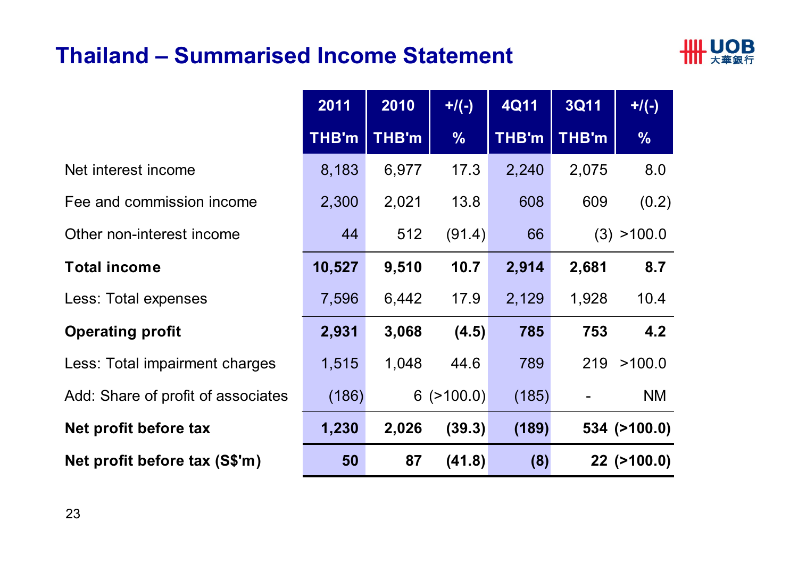#### **Thailand – Summarised Income Statement**

![](_page_22_Picture_1.jpeg)

|                                    | 2011         | 2010         | $+$ /(-)         | <b>4Q11</b>  | <b>3Q11</b> | $+$ /(-)      |
|------------------------------------|--------------|--------------|------------------|--------------|-------------|---------------|
|                                    | <b>THB'm</b> | <b>THB'm</b> | $\frac{0}{0}$    | <b>THB'm</b> | THB'm       | $\frac{0}{6}$ |
| Net interest income                | 8,183        | 6,977        | 17.3             | 2,240        | 2,075       | 8.0           |
| Fee and commission income          | 2,300        | 2,021        | 13.8             | 608          | 609         | (0.2)         |
| Other non-interest income          | 44           | 512          | (91.4)           | 66           | (3)         | >100.0        |
| <b>Total income</b>                | 10,527       | 9,510        | 10.7             | 2,914        | 2,681       | 8.7           |
| Less: Total expenses               | 7,596        | 6,442        | 17.9             | 2,129        | 1,928       | 10.4          |
| <b>Operating profit</b>            | 2,931        | 3,068        | (4.5)            | 785          | 753         | 4.2           |
| Less: Total impairment charges     | 1,515        | 1,048        | 44.6             | 789          | 219         | >100.0        |
| Add: Share of profit of associates | (186)        |              | $6$ ( $>100.0$ ) | (185)        |             | <b>NM</b>     |
| Net profit before tax              | 1,230        | 2,026        | (39.3)           | (189)        |             | 534 (>100.0)  |
| Net profit before tax (S\$'m)      | 50           | 87           | (41.8)           | (8)          |             | 22 (>100.0)   |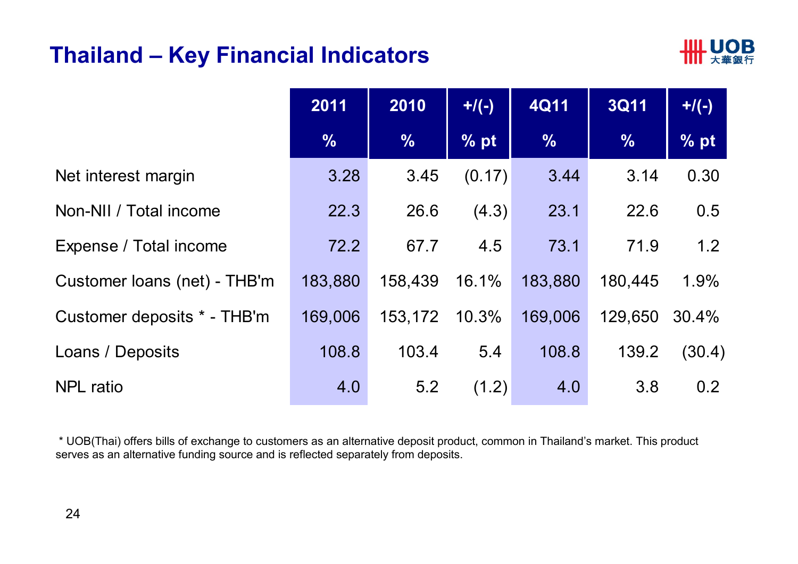#### **Thailand – Key Financial Indicators**

![](_page_23_Picture_1.jpeg)

|                              | 2011          | 2010          | $+$ /(-) | <b>4Q11</b>   | <b>3Q11</b>   | $+$ /(-) |
|------------------------------|---------------|---------------|----------|---------------|---------------|----------|
|                              | $\frac{1}{2}$ | $\frac{9}{6}$ | % pt     | $\frac{9}{6}$ | $\frac{0}{6}$ | % pt     |
| Net interest margin          | 3.28          | 3.45          | (0.17)   | 3.44          | 3.14          | 0.30     |
| Non-NII / Total income       | 22.3          | 26.6          | (4.3)    | 23.1          | 22.6          | 0.5      |
| Expense / Total income       | 72.2          | 67.7          | 4.5      | 73.1          | 71.9          | 1.2      |
| Customer Ioans (net) - THB'm | 183,880       | 158,439       | 16.1%    | 183,880       | 180,445       | 1.9%     |
| Customer deposits * - THB'm  | 169,006       | 153,172       | 10.3%    | 169,006       | 129,650       | 30.4%    |
| Loans / Deposits             | 108.8         | 103.4         | 5.4      | 108.8         | 139.2         | (30.4)   |
| <b>NPL</b> ratio             | 4.0           | 5.2           | (1.2)    | 4.0           | 3.8           | 0.2      |

\* UOB(Thai) offers bills of exchange to customers as an alternative deposit product, common in Thailand's market. This product serves as an alternative funding source and is reflected separately from deposits.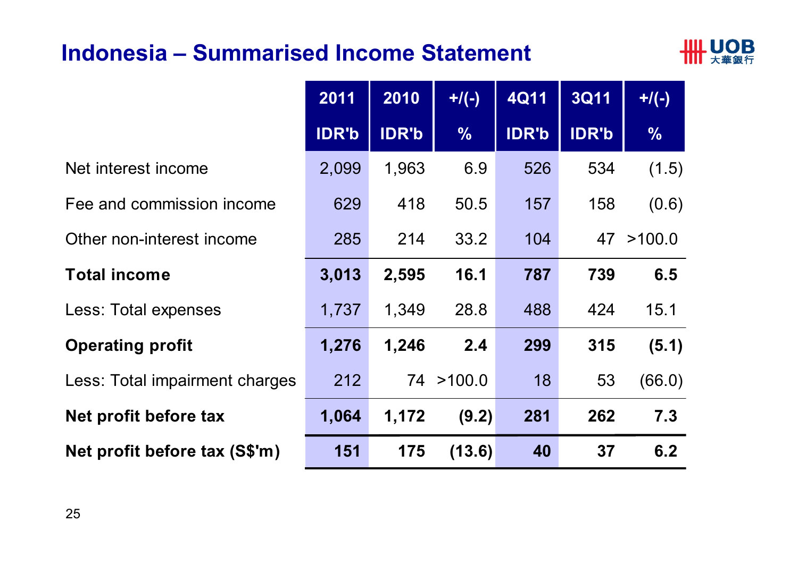#### **Indonesia – Summarised Income Statement**

![](_page_24_Picture_1.jpeg)

|                                | 2011         | 2010         | $+$ /(-)      | <b>4Q11</b>  | <b>3Q11</b>  | $+$ /(-)      |
|--------------------------------|--------------|--------------|---------------|--------------|--------------|---------------|
|                                | <b>IDR'b</b> | <b>IDR'b</b> | $\frac{0}{0}$ | <b>IDR'b</b> | <b>IDR'b</b> | $\frac{0}{0}$ |
| Net interest income            | 2,099        | 1,963        | 6.9           | 526          | 534          | (1.5)         |
| Fee and commission income      | 629          | 418          | 50.5          | 157          | 158          | (0.6)         |
| Other non-interest income      | 285          | 214          | 33.2          | 104          | 47           | >100.0        |
| <b>Total income</b>            | 3,013        | 2,595        | 16.1          | 787          | 739          | 6.5           |
| Less: Total expenses           | 1,737        | 1,349        | 28.8          | 488          | 424          | 15.1          |
| <b>Operating profit</b>        | 1,276        | 1,246        | 2.4           | 299          | 315          | (5.1)         |
| Less: Total impairment charges | 212          |              | 74 > 100.0    | 18           | 53           | (66.0)        |
| Net profit before tax          | 1,064        | 1,172        | (9.2)         | 281          | 262          | 7.3           |
| Net profit before tax (S\$'m)  | 151          | 175          | (13.6)        | 40           | 37           | 6.2           |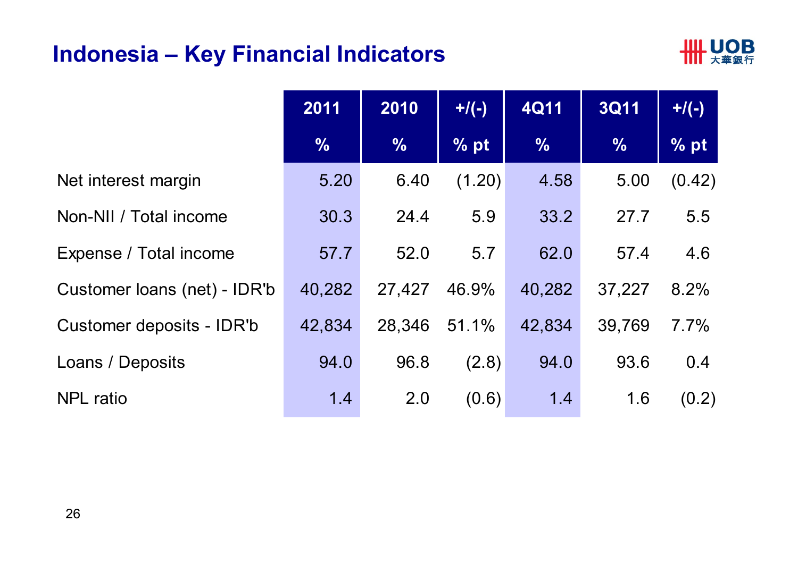## **Indonesia – Key Financial Indicators**

![](_page_25_Picture_1.jpeg)

|                              | 2011          | 2010          | $+$ /(-) | <b>4Q11</b>   | <b>3Q11</b>   | $+$ /(-) |
|------------------------------|---------------|---------------|----------|---------------|---------------|----------|
|                              | $\frac{0}{0}$ | $\frac{0}{0}$ | % pt     | $\frac{0}{0}$ | $\frac{0}{0}$ | $\%$ pt  |
| Net interest margin          | 5.20          | 6.40          | (1.20)   | 4.58          | 5.00          | (0.42)   |
| Non-NII / Total income       | 30.3          | 24.4          | 5.9      | 33.2          | 27.7          | 5.5      |
| Expense / Total income       | 57.7          | 52.0          | 5.7      | 62.0          | 57.4          | 4.6      |
| Customer loans (net) - IDR'b | 40,282        | 27,427        | 46.9%    | 40,282        | 37,227        | 8.2%     |
| Customer deposits - IDR'b    | 42,834        | 28,346        | 51.1%    | 42,834        | 39,769        | 7.7%     |
| Loans / Deposits             | 94.0          | 96.8          | (2.8)    | 94.0          | 93.6          | 0.4      |
| <b>NPL</b> ratio             | 1.4           | 2.0           | (0.6)    | 1.4           | 1.6           | (0.2)    |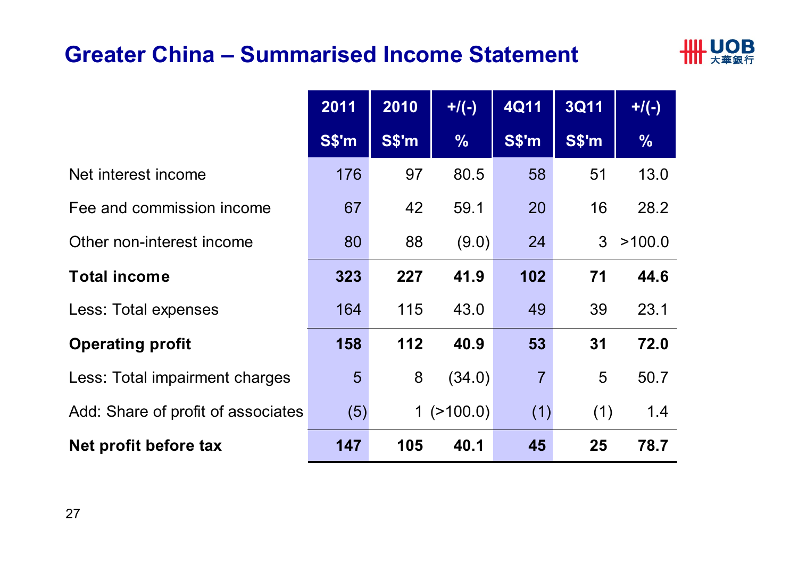#### **Greater China – Summarised Income Statement**

![](_page_26_Picture_1.jpeg)

|                                    | 2011            | 2010  | $+$ /(-)      | <b>4Q11</b>    | 3Q11  | $+/(-)$       |
|------------------------------------|-----------------|-------|---------------|----------------|-------|---------------|
|                                    | S\$'m           | S\$'m | $\frac{0}{0}$ | <b>S\$'m</b>   | S\$'m | $\frac{0}{0}$ |
| Net interest income                | 176             | 97    | 80.5          | 58             | 51    | 13.0          |
| Fee and commission income          | 67              | 42    | 59.1          | 20             | 16    | 28.2          |
| Other non-interest income          | 80              | 88    | (9.0)         | 24             | 3     | >100.0        |
| <b>Total income</b>                | 323             | 227   | 41.9          | 102            | 71    | 44.6          |
| Less: Total expenses               | 164             | 115   | 43.0          | 49             | 39    | 23.1          |
| <b>Operating profit</b>            | 158             | 112   | 40.9          | 53             | 31    | 72.0          |
| Less: Total impairment charges     | $5\overline{)}$ | 8     | (34.0)        | $\overline{7}$ | 5     | 50.7          |
| Add: Share of profit of associates | (5)             |       | 1(>100.0)     | (1)            | (1)   | 1.4           |
| Net profit before tax              | 147             | 105   | 40.1          | 45             | 25    | 78.7          |